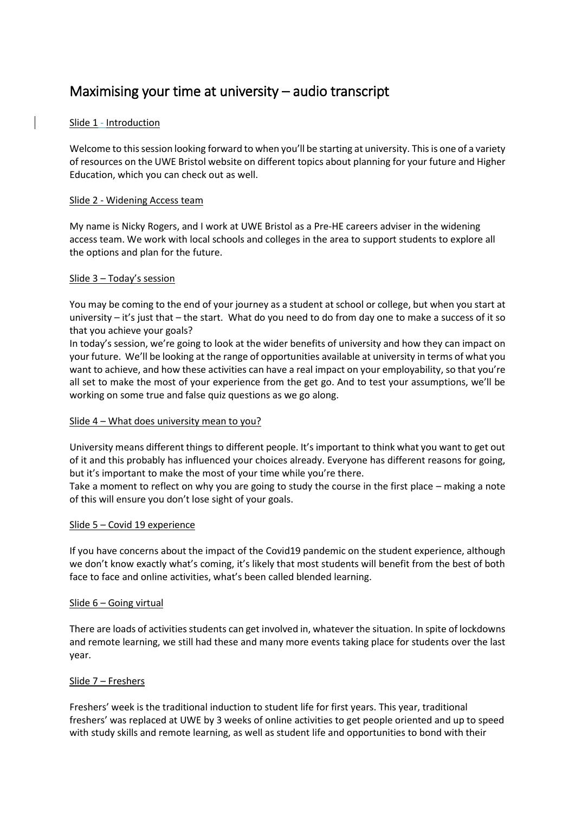# Maximising your time at university – audio transcript

# Slide 1 - Introduction

Welcome to this session looking forward to when you'll be starting at university. This is one of a variety of resources on the UWE Bristol website on different topics about planning for your future and Higher Education, which you can check out as well.

#### Slide 2 - Widening Access team

My name is Nicky Rogers, and I work at UWE Bristol as a Pre-HE careers adviser in the widening access team. We work with local schools and colleges in the area to support students to explore all the options and plan for the future.

## Slide 3 – Today's session

You may be coming to the end of your journey as a student at school or college, but when you start at university – it's just that – the start. What do you need to do from day one to make a success of it so that you achieve your goals?

In today's session, we're going to look at the wider benefits of university and how they can impact on your future. We'll be looking at the range of opportunities available at university in terms of what you want to achieve, and how these activities can have a real impact on your employability, so that you're all set to make the most of your experience from the get go. And to test your assumptions, we'll be working on some true and false quiz questions as we go along.

#### Slide 4 – What does university mean to you?

University means different things to different people. It's important to think what you want to get out of it and this probably has influenced your choices already. Everyone has different reasons for going, but it's important to make the most of your time while you're there.

Take a moment to reflect on why you are going to study the course in the first place – making a note of this will ensure you don't lose sight of your goals.

#### Slide 5 – Covid 19 experience

If you have concerns about the impact of the Covid19 pandemic on the student experience, although we don't know exactly what's coming, it's likely that most students will benefit from the best of both face to face and online activities, what's been called blended learning.

#### Slide 6 – Going virtual

There are loads of activities students can get involved in, whatever the situation. In spite of lockdowns and remote learning, we still had these and many more events taking place for students over the last year.

#### Slide 7 – Freshers

Freshers' week is the traditional induction to student life for first years. This year, traditional freshers' was replaced at UWE by 3 weeks of online activities to get people oriented and up to speed with study skills and remote learning, as well as student life and opportunities to bond with their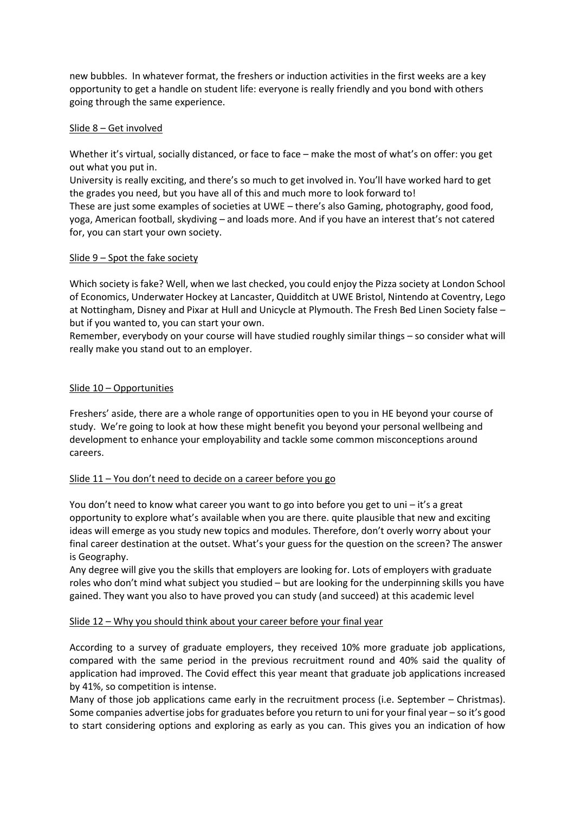new bubbles. In whatever format, the freshers or induction activities in the first weeks are a key opportunity to get a handle on student life: everyone is really friendly and you bond with others going through the same experience.

## Slide 8 – Get involved

Whether it's virtual, socially distanced, or face to face – make the most of what's on offer: you get out what you put in.

University is really exciting, and there's so much to get involved in. You'll have worked hard to get the grades you need, but you have all of this and much more to look forward to!

These are just some examples of societies at UWE – there's also Gaming, photography, good food, yoga, American football, skydiving – and loads more. And if you have an interest that's not catered for, you can start your own society.

## Slide 9 – Spot the fake society

Which society is fake? Well, when we last checked, you could enjoy the Pizza society at London School of Economics, Underwater Hockey at Lancaster, Quidditch at UWE Bristol, Nintendo at Coventry, Lego at Nottingham, Disney and Pixar at Hull and Unicycle at Plymouth. The Fresh Bed Linen Society false – but if you wanted to, you can start your own.

Remember, everybody on your course will have studied roughly similar things – so consider what will really make you stand out to an employer.

## Slide 10 – Opportunities

Freshers' aside, there are a whole range of opportunities open to you in HE beyond your course of study. We're going to look at how these might benefit you beyond your personal wellbeing and development to enhance your employability and tackle some common misconceptions around careers.

#### Slide 11 – You don't need to decide on a career before you go

You don't need to know what career you want to go into before you get to uni – it's a great opportunity to explore what's available when you are there. quite plausible that new and exciting ideas will emerge as you study new topics and modules. Therefore, don't overly worry about your final career destination at the outset. What's your guess for the question on the screen? The answer is Geography.

Any degree will give you the skills that employers are looking for. Lots of employers with graduate roles who don't mind what subject you studied – but are looking for the underpinning skills you have gained. They want you also to have proved you can study (and succeed) at this academic level

#### Slide 12 – Why you should think about your career before your final year

According to a survey of graduate employers, they received 10% more graduate job applications, compared with the same period in the previous recruitment round and 40% said the quality of application had improved. The Covid effect this year meant that graduate job applications increased by 41%, so competition is intense.

Many of those job applications came early in the recruitment process (i.e. September – Christmas). Some companies advertise jobs for graduates before you return to uni for your final year – so it's good to start considering options and exploring as early as you can. This gives you an indication of how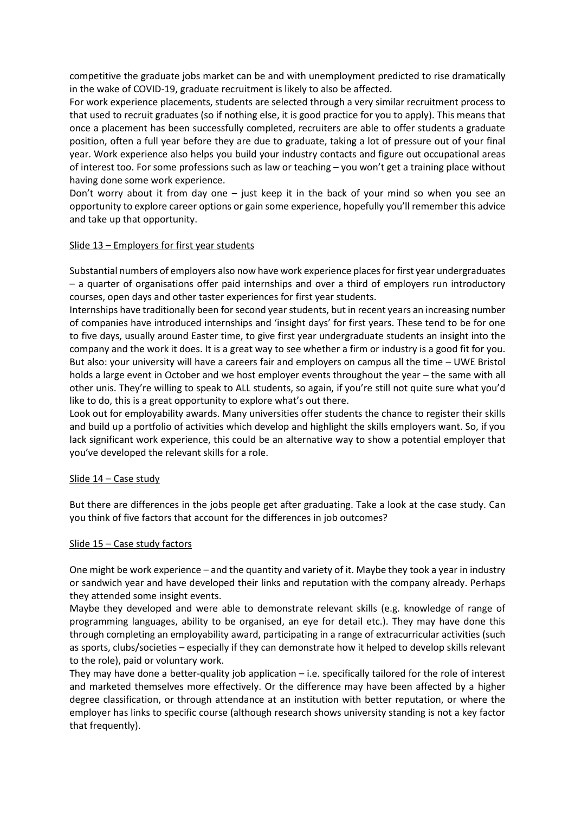competitive the graduate jobs market can be and with unemployment predicted to rise dramatically in the wake of COVID-19, graduate recruitment is likely to also be affected.

For work experience placements, students are selected through a very similar recruitment process to that used to recruit graduates (so if nothing else, it is good practice for you to apply). This means that once a placement has been successfully completed, recruiters are able to offer students a graduate position, often a full year before they are due to graduate, taking a lot of pressure out of your final year. Work experience also helps you build your industry contacts and figure out occupational areas of interest too. For some professions such as law or teaching – you won't get a training place without having done some work experience.

Don't worry about it from day one – just keep it in the back of your mind so when you see an opportunity to explore career options or gain some experience, hopefully you'll remember this advice and take up that opportunity.

#### Slide 13 – Employers for first year students

Substantial numbers of employers also now have work experience places for first year undergraduates – a quarter of organisations offer paid internships and over a third of employers run introductory courses, open days and other taster experiences for first year students.

Internships have traditionally been for second year students, but in recent years an increasing number of companies have introduced internships and 'insight days' for first years. These tend to be for one to five days, usually around Easter time, to give first year undergraduate students an insight into the company and the work it does. It is a great way to see whether a firm or industry is a good fit for you. But also: your university will have a careers fair and employers on campus all the time – UWE Bristol holds a large event in October and we host employer events throughout the year – the same with all other unis. They're willing to speak to ALL students, so again, if you're still not quite sure what you'd like to do, this is a great opportunity to explore what's out there.

Look out for employability awards. Many universities offer students the chance to register their skills and build up a portfolio of activities which develop and highlight the skills employers want. So, if you lack significant work experience, this could be an alternative way to show a potential employer that you've developed the relevant skills for a role.

#### Slide 14 - Case study

But there are differences in the jobs people get after graduating. Take a look at the case study. Can you think of five factors that account for the differences in job outcomes?

#### Slide 15 – Case study factors

One might be work experience – and the quantity and variety of it. Maybe they took a year in industry or sandwich year and have developed their links and reputation with the company already. Perhaps they attended some insight events.

Maybe they developed and were able to demonstrate relevant skills (e.g. knowledge of range of programming languages, ability to be organised, an eye for detail etc.). They may have done this through completing an employability award, participating in a range of extracurricular activities (such as sports, clubs/societies – especially if they can demonstrate how it helped to develop skills relevant to the role), paid or voluntary work.

They may have done a better-quality job application  $-$  i.e. specifically tailored for the role of interest and marketed themselves more effectively. Or the difference may have been affected by a higher degree classification, or through attendance at an institution with better reputation, or where the employer has links to specific course (although research shows university standing is not a key factor that frequently).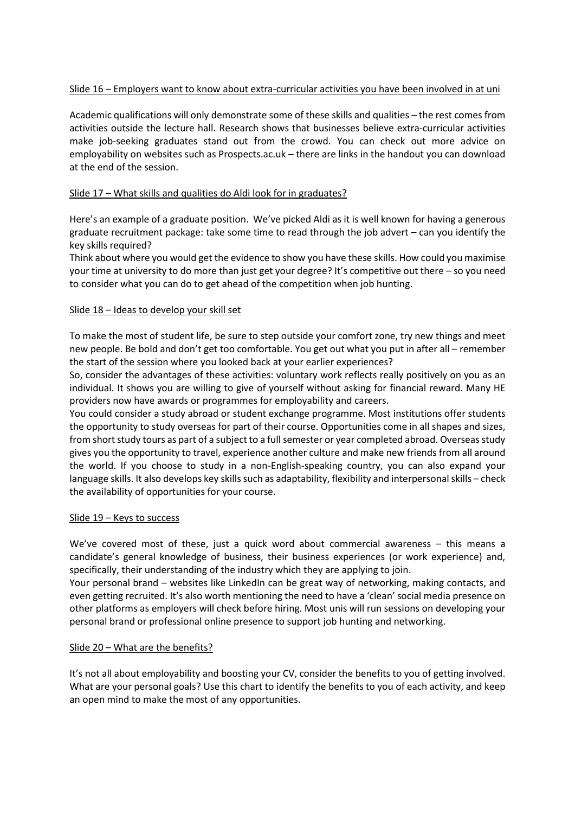# Slide 16 – Employers want to know about extra-curricular activities you have been involved in at uni

Academic qualifications will only demonstrate some of these skills and qualities – the rest comes from activities outside the lecture hall. Research shows that businesses believe extra-curricular activities make job-seeking graduates stand out from the crowd. You can check out more advice on employability on websites such as Prospects.ac.uk – there are links in the handout you can download at the end of the session.

# Slide 17 – What skills and qualities do Aldi look for in graduates?

Here's an example of a graduate position. We've picked Aldi as it is well known for having a generous graduate recruitment package: take some time to read through the job advert – can you identify the key skills required?

Think about where you would get the evidence to show you have these skills. How could you maximise your time at university to do more than just get your degree? It's competitive out there – so you need to consider what you can do to get ahead of the competition when job hunting.

#### Slide 18 – Ideas to develop your skill set

To make the most of student life, be sure to step outside your comfort zone, try new things and meet new people. Be bold and don't get too comfortable. You get out what you put in after all – remember the start of the session where you looked back at your earlier experiences?

So, consider the advantages of these activities: voluntary work reflects really positively on you as an individual. It shows you are willing to give of yourself without asking for financial reward. Many HE providers now have awards or programmes for employability and careers.

You could consider a study abroad or student exchange programme. Most institutions offer students the opportunity to study overseas for part of their course. Opportunities come in all shapes and sizes, from short study tours as part of a subject to a full semester or year completed abroad. Overseas study gives you the opportunity to travel, experience another culture and make new friends from all around the world. If you choose to study in a non-English-speaking country, you can also expand your language skills. It also develops key skills such as adaptability, flexibility and interpersonal skills – check the availability of opportunities for your course.

#### Slide 19 – Keys to success

We've covered most of these, just a quick word about commercial awareness – this means a candidate's general knowledge of business, their business experiences (or work experience) and, specifically, their understanding of the industry which they are applying to join.

Your personal brand – websites like LinkedIn can be great way of networking, making contacts, and even getting recruited. It's also worth mentioning the need to have a 'clean' social media presence on other platforms as employers will check before hiring. Most unis will run sessions on developing your personal brand or professional online presence to support job hunting and networking.

#### Slide 20 – What are the benefits?

It's not all about employability and boosting your CV, consider the benefits to you of getting involved. What are your personal goals? Use this chart to identify the benefits to you of each activity, and keep an open mind to make the most of any opportunities.